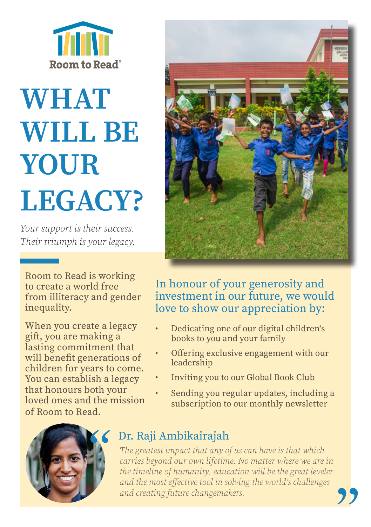

# **WHAT** WILL BE YOUR LEGACY?

*Your support is their success. Their triumph is your legacy.*

Room to Read is working to create a world free from illiteracy and gender inequality.

When you create a legacy gift, you are making a lasting commitment that will benefit generations of children for years to come. You can establish a legacy that honours both your loved ones and the mission of Room to Read.



## In honour of your generosity and investment in our future, we would love to show our appreciation by:

- Dedicating one of our digital children's books to you and your family
- Offering exclusive engagement with our leadership
- Inviting you to our Global Book Club
- Sending you regular updates, including a subscription to our monthly newsletter



# Dr. Raji Ambikairajah

*The greatest impact that any of us can have is that which carries beyond our own lifetime. No matter where we are in the timeline of humanity, education will be the great leveler and the most effective tool in solving the world's challenges and creating future changemakers.*